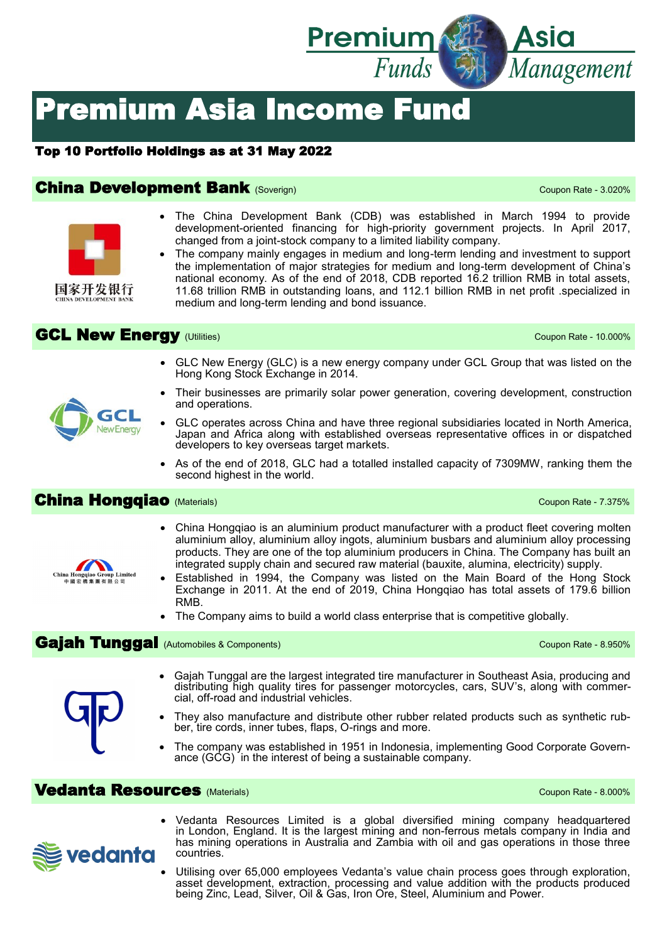

# Premium Asia Income Fund

#### Top 10 Portfolio Holdings as at 31 May 2022

#### **China Development Bank** (Soverign) Coupon Rate - 3.020%

- The China Development Bank (CDB) was established in March 1994 to provide development-oriented financing for high-priority government projects. In April 2017, changed from a joint-stock company to a limited liability company.
	- The company mainly engages in medium and long-term lending and investment to support the implementation of major strategies for medium and long-term development of China's national economy. As of the end of 2018, CDB reported 16.2 trillion RMB in total assets, 11.68 trillion RMB in outstanding loans, and 112.1 billion RMB in net profit .specialized in medium and long-term lending and bond issuance.

## GCL New Energy (Utilities) Coupon Rate - 10.000%

- GLC New Energy (GLC) is a new energy company under GCL Group that was listed on the Hong Kong Stock Exchange in 2014.
- Their businesses are primarily solar power generation, covering development, construction and operations.
- GLC operates across China and have three regional subsidiaries located in North America, Japan and Africa along with established overseas representative offices in or dispatched developers to key overseas target markets.
- As of the end of 2018, GLC had a totalled installed capacity of 7309MW, ranking them the second highest in the world.

### **China Hongqiao** (Materials) **China Hongqiao** (Materials)

- China Hongqiao is an aluminium product manufacturer with a product fleet covering molten aluminium alloy, aluminium alloy ingots, aluminium busbars and aluminium alloy processing products. They are one of the top aluminium producers in China. The Company has built an integrated supply chain and secured raw material (bauxite, alumina, electricity) supply.
- Established in 1994, the Company was listed on the Main Board of the Hong Stock Exchange in 2011. At the end of 2019, China Hongqiao has total assets of 179.6 billion RMB.
- The Company aims to build a world class enterprise that is competitive globally.

#### Gaiah Tunggal (Automobiles & Components) Coupon Rate - 8.950%

- Gajah Tunggal are the largest integrated tire manufacturer in Southeast Asia, producing and distributing high quality tires for passenger motorcycles, cars, SUV's, along with commercial, off-road and industrial vehicles.
- They also manufacture and distribute other rubber related products such as synthetic rubber, tire cords, inner tubes, flaps, O-rings and more.
- The company was established in 1951 in Indonesia, implementing Good Corporate Governance (GCG) in the interest of being a sustainable company.

#### **Vedanta Resources** (Materials) Coupon Rate - 8.000%



- Vedanta Resources Limited is a global diversified mining company headquartered in London, England. It is the largest mining and non-ferrous metals company in India and has mining operations in Australia and Zambia with oil and gas operations in those three countries.
- Utilising over 65,000 employees Vedanta's value chain process goes through exploration, asset development, extraction, processing and value addition with the products produced being Zinc, Lead, Silver, Oil & Gas, Iron Ore, Steel, Aluminium and Power.



GC **New Energy** 

国家开发银行

## China Hongqi